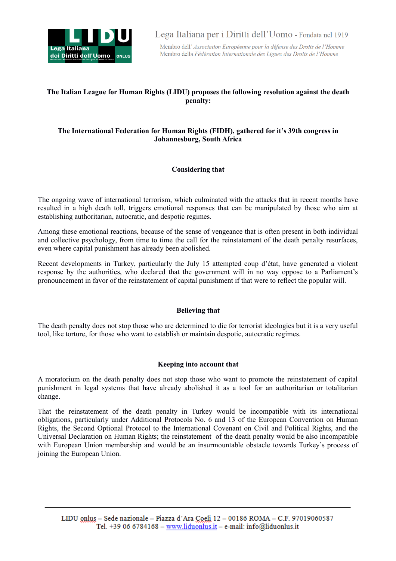

Membro dell' Association Européenne pour la défense des Droits de l'Homme Membro della Fédération Internationale des Ligues des Droits de l'Homme

# **The Italian League for Human Rights (LIDU) proposes the following resolution against the death penalty:**

## **The International Federation for Human Rights (FIDH), gathered for it's 39th congress in Johannesburg, South Africa**

## **Considering that**

The ongoing wave of international terrorism, which culminated with the attacks that in recent months have resulted in a high death toll, triggers emotional responses that can be manipulated by those who aim at establishing authoritarian, autocratic, and despotic regimes.

Among these emotional reactions, because of the sense of vengeance that is often present in both individual and collective psychology, from time to time the call for the reinstatement of the death penalty resurfaces, even where capital punishment has already been abolished.

Recent developments in Turkey, particularly the July 15 attempted coup d'état, have generated a violent response by the authorities, who declared that the government will in no way oppose to a Parliament's pronouncement in favor of the reinstatement of capital punishment if that were to reflect the popular will.

#### **Believing that**

The death penalty does not stop those who are determined to die for terrorist ideologies but it is a very useful tool, like torture, for those who want to establish or maintain despotic, autocratic regimes.

#### **Keeping into account that**

A moratorium on the death penalty does not stop those who want to promote the reinstatement of capital punishment in legal systems that have already abolished it as a tool for an authoritarian or totalitarian change.

That the reinstatement of the death penalty in Turkey would be incompatible with its international obligations, particularly under Additional Protocols No. 6 and 13 of the European Convention on Human Rights, the Second Optional Protocol to the International Covenant on Civil and Political Rights, and the Universal Declaration on Human Rights; the reinstatement of the death penalty would be also incompatible with European Union membership and would be an insurmountable obstacle towards Turkey's process of joining the European Union.